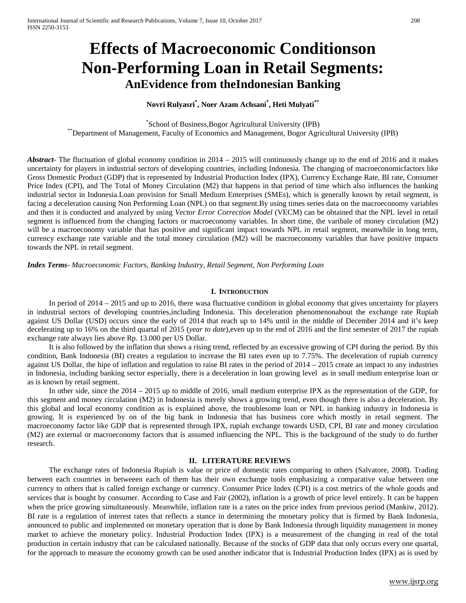# **Effects of Macroeconomic Conditionson Non-Performing Loan in Retail Segments: AnEvidence from theIndonesian Banking**

# **Novri Rulyasri\* , Noer Azam Achsani\* , Heti Mulyati\*\***

\*School of Business,Bogor Agricultural University (IPB)<br>\*\*Department of Managament, Feeultu of Economias and Managament, Bogor Agr Department of Management, Faculty of Economics and Management, Bogor Agricultural University (IPB)

*Abstract***-** The fluctuation of global economy condition in 2014 – 2015 will continuously change up to the end of 2016 and it makes uncertainty for players in industrial sectors of developing countries, including Indonesia. The changing of macroeconomicfactors like Gross Domestic Product (GDP) that is represented by Industrial Production Index (IPX), Currency Exchange Rate, BI rate, Consumer Price Index (CPI), and The Total of Money Circulation (M2) that happens in that period of time which also influences the banking industrial sector in Indonesia.Loan provision for Small Medium Enterprises (SMEs), which is generally known by retail segment, is facing a deceleration causing Non Performing Loan (NPL) on that segment.By using times series data on the macroeconomy variables and then it is conducted and analyzed by using *Vector Error Correction Model* (VECM) can be obtained that the NPL level in retail segment is influenced from the changing factors or macroeconomy variables. In short time, the varibale of money circulation (M2) will be a macroeconomy variable that has positive and significant impact towards NPL in retail segment, meanwhile in long term, currency exchange rate variable and the total money circulation (M2) will be macroeconomy variables that have positive impacts towards the NPL in retail segment.

*Index Terms*- *Macroeconomic Factors*, *Banking Industry*, *Retail Segment*, *Non Performing Loan*

#### **I. INTRODUCTION**

In period of 2014 – 2015 and up to 2016, there wasa fluctuative condition in global economy that gives uncertainty for players in industrial sectors of developing countries,including Indonesia. This deceleration phenomenonabout the exchange rate Rupiah against US Dollar (USD) occurs since the early of 2014 that reach up to 14% until in the middle of December 2014 and it's keep decelerating up to 16% on the third quartal of 2015 (*year to date*),even up to the end of 2016 and the first semester of 2017 the rupiah exchange rate always lies above Rp. 13.000 per US Dollar.

It is also followed by the inflation that shows a rising trend, reflected by an excessive growing of CPI during the period. By this condition, Bank Indonesia (BI) creates a regulation to increase the BI rates even up to 7.75%. The deceleration of rupiah currency against US Dollar, the hipe of inflation and regulation to raise BI rates in the period of 2014 – 2015 create an impact to any industries in Indonesia, including banking sector especially, there is a deceleration in loan growing level as in small medium enterprise loan or as is known by retail segment.

In other side, since the 2014 – 2015 up to middle of 2016, small medium enterprise IPX as the representation of the GDP, for this segment and money circulation (M2) in Indonesia is merely shows a growing trend, even though there is also a deceleration. By this global and local economy condition as is explained above, the troublesome loan or NPL in banking industry in Indonesia is growing. It is experienced by on of the big bank in Indonesia that has business core which mostly in retail segment. The macroeconomy factor like GDP that is represented through IPX, rupiah exchange towards USD, CPI, BI rate and money circulation (M2) are external or macroeconomy factors that is assumed influencing the NPL. This is the background of the study to do further research.

## **II. LITERATURE REVIEWS**

The exchange rates of Indonesia Rupiah is value or price of domestic rates comparing to others (Salvatore, 2008). Trading between each countries in betweeen each of them has their own exchange tools emphasizing a comparative value between one currency to others that is called foreign exchange or currency. Consumer Price Index (CPI) is a cost metrics of the whole goods and services that is bought by consumer. According to Case and Fair (2002), inflation is a growth of price level entirely. It can be happen when the price growing simultaneously. Meanwhile, inflation rate is a rates on the price index from previous period (Mankiw, 2012). BI rate is a regulation of interest rates that reflects a stance in determining the monetary policy that is firmed by Bank Indonesia, announced to public and implemented on monetary operation that is done by Bank Indonesia through liquidity management in money market to achieve the monetary policy. Industrial Production Index (IPX) is a measurement of the changing in real of the total production in certain industry that can be calculated nationally. Because of the stocks of GDP data that only occurs every one quartal, for the approach to measure the economy growth can be used another indicator that is Industrial Production Index (IPX) as is used by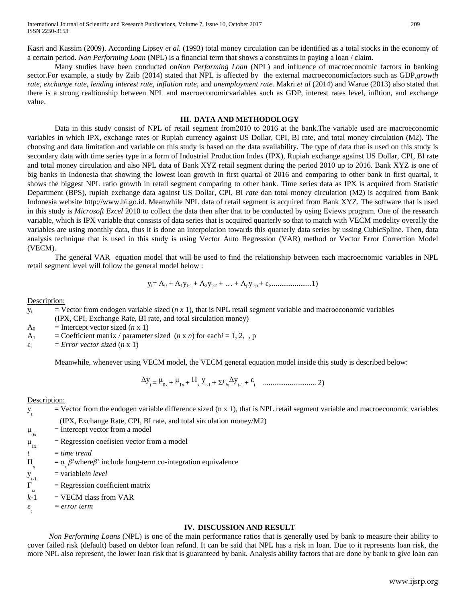Kasri and Kassim (2009). According Lipsey *et al.* (1993) total money circulation can be identified as a total stocks in the economy of a certain period. *Non Performing Loan* (NPL) is a financial term that shows a constraints in paying a loan / claim.

Many studies have been conducted on*Non Performing Loan* (NPL) and influence of macroeconomic factors in banking sector.For example, a study by Zaib (2014) stated that NPL is affected by the external macroeconomicfactors such as GDP,*growth rate*, *exchange rate*, *lending interest rate*, *inflation rate*, and *unemployment rate.* Makri *et al* (2014) and Warue (2013) also stated that there is a strong realtionship between NPL and macroeconomicvariables such as GDP, interest rates level, infltion, and exchange value.

## **III. DATA AND METHODOLOGY**

Data in this study consist of NPL of retail segment from2010 to 2016 at the bank.The variable used are macroeconomic variables in which IPX, exchange rates or Rupiah currency against US Dollar, CPI, BI rate, and total money circulation (M2). The choosing and data limitation and variable on this study is based on the data availability. The type of data that is used on this study is secondary data with time series type in a form of Industrial Production Index (IPX), Rupiah exchange against US Dollar, CPI, BI rate and total money circulation and also NPL data of Bank XYZ retail segment during the period 2010 up to 2016. Bank XYZ is one of big banks in Indonesia that showing the lowest loan growth in first quartal of 2016 and comparing to other bank in first quartal, it shows the biggest NPL ratio growth in retail segment comparing to other bank. Time series data as IPX is acquired from Statistic Department (BPS), rupiah exchange data against US Dollar, CPI, BI *rate* dan total money circulation (M2) is acquired from Bank Indonesia website http:/[/www.bi.go.id.](http://www.bi.go.id/) Meanwhile NPL data of retail segment is acquired from Bank XYZ. The software that is used in this study is *Microsoft Excel* 2010 to collect the data then after that to be conducted by using Eviews program. One of the research variable, which is IPX variable that consists of data series that is acquired quarterly so that to match with VECM modelity overally the variables are using monthly data, thus it is done an interpolation towards this quarterly data series by ussing CubicSpline. Then, data analysis technique that is used in this study is using Vector Auto Regression (VAR) method or Vector Error Correction Model (VECM).

The general VAR equation model that will be used to find the relationship between each macroecnomic variables in NPL retail segment level will follow the general model below :

$$
y_t = A_0 + A_1y_{t-1} + A_2y_{t-2} + \ldots + A_py_{t-p} + \epsilon_t \ldots \ldots \ldots \ldots \ldots \ldots \ldots 1)
$$

Description:

 $y_t$  = Vector from endogen variable sized ( $n \times 1$ ), that is NPL retail segment variable and macroeconomic variables (IPX, CPI, Exchange Rate, BI rate, and total sirculation money)

 $A_0$  = Intercept vector sized (*n* x 1)

A<sub>1</sub> = Coefticient matrix / parameter sized  $(n \times n)$  for each $i = 1, 2, \ldots, p$ 

 $\varepsilon_t$  = *Error vector sized* (*n* x 1)

Meanwhile, whenever using VECM model, the VECM general equation model inside this study is described below:

Δy t = <sup>μ</sup> 0x + <sup>μ</sup> 1x + Π<sup>x</sup> <sup>y</sup> t-1 + ΣГ *ix* Δy t-1 + <sup>ε</sup> t ............................ 2)

Description:

 $y_{t}$  $t =$  Vector from the endogen variable difference sized (n x 1), that is NPL retail segment variable and macroeconomic variables

- (IPX, Exchange Rate, CPI, BI rate, and total sirculation money/M2)
- $\mu_{0x}$ = Intercept vector from a model
- $\mu_{1x}$  $=$  Regression coefisien vector from a model
- $t = time trend$
- $\Pi$ <sub>x</sub> =  $\alpha$ <sub>x</sub> $\beta$ ' where $\beta$ ' include long-term co-integration equivalence
- $y_{t-1}$
- $y_{t-1}$  = variable*in level*<br>  $\Gamma_{ix}$  = Regression coef <sup>Γ</sup>*ix* = Regression coefficient matrix
- $k-1$  = VECM class from VAR

ε  $= error term$ 

# **IV. DISCUSSION AND RESULT**

*Non Performing Loans* (NPL) is one of the main performance ratios that is generally used by bank to measure their ability to cover failed risk (default) based on debtor loan refund. It can be said that NPL has a risk in loan. Due to it represents loan risk, the more NPL also represent, the lower loan risk that is guaranteed by bank. Analysis ability factors that are done by bank to give loan can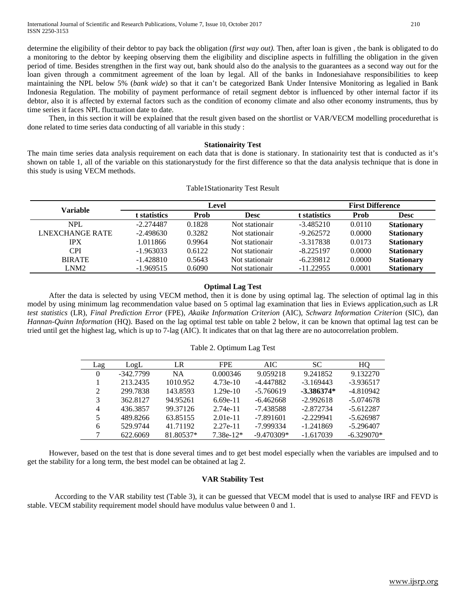determine the eligibility of their debtor to pay back the obligation (*first way out).* Then, after loan is given , the bank is obligated to do a monitoring to the debtor by keeping observing them the eligibility and discipline aspects in fulfilling the obligation in the given period of time. Besides strengthen in the first way out, bank should also do the analysis to the guarantees as a second way out for the loan given through a commitment agreement of the loan by legal. All of the banks in Indonesiahave responsibilities to keep maintaining the NPL below 5% (*bank wide*) so that it can't be categorized Bank Under Intensive Monitoring as legalied in Bank Indonesia Regulation. The mobility of payment performance of retail segment debtor is influenced by other internal factor if its debtor, also it is affected by external factors such as the condition of economy climate and also other economy instruments, thus by time series it faces NPL fluctuation date to date.

Then, in this section it will be explained that the result given based on the shortlist or VAR/VECM modelling procedurethat is done related to time series data conducting of all variable in this study :

### **Stationairity Test**

The main time series data analysis requirement on each data that is done is stationary. In stationairity test that is conducted as it's shown on table 1, all of the variable on this stationarystudy for the first difference so that the data analysis technique that is done in this study is using VECM methods.

| <b>Variable</b>        | Level        |        |                |              | <b>First Difference</b> |                   |  |
|------------------------|--------------|--------|----------------|--------------|-------------------------|-------------------|--|
|                        | t statistics | Prob   | <b>Desc</b>    | t statistics | <b>Prob</b>             | <b>Desc</b>       |  |
| <b>NPL</b>             | $-2.274487$  | 0.1828 | Not stationair | $-3.485210$  | 0.0110                  | <b>Stationary</b> |  |
| <b>LNEXCHANGE RATE</b> | $-2.498630$  | 0.3282 | Not stationair | $-9.262572$  | 0.0000                  | <b>Stationary</b> |  |
| IPX                    | 1.011866     | 0.9964 | Not stationair | $-3.317838$  | 0.0173                  | <b>Stationary</b> |  |
| CPI                    | $-1.963033$  | 0.6122 | Not stationair | $-8.225197$  | 0.0000                  | <b>Stationary</b> |  |
| <b>BIRATE</b>          | $-1.428810$  | 0.5643 | Not stationair | $-6.239812$  | 0.0000                  | <b>Stationary</b> |  |
| LNM <sub>2</sub>       | $-1.969515$  | 0.6090 | Not stationair | $-11.22955$  | 0.0001                  | <b>Stationary</b> |  |

## **Optimal Lag Test**

After the data is selected by using VECM method, then it is done by using optimal lag. The selection of optimal lag in this model by using minimum lag recommendation value based on 5 optimal lag examination that lies in Eviews application,such as LR *test statistics* (LR), *Final Prediction Error* (FPE), *Akaike Information Criterion* (AIC), *Schwarz Information Criterion* (SIC), dan *Hannan-Quinn Information* (HQ). Based on the lag optimal test table on table 2 below, it can be known that optimal lag test can be tried until get the highest lag, which is up to 7-lag (AIC). It indicates that on that lag there are no autocorrelation problem.

| Lag      | LogL        | LR        | <b>FPE</b>  | AIC.         | SC.          | HO           |
|----------|-------------|-----------|-------------|--------------|--------------|--------------|
| $\Omega$ | $-342.7799$ | <b>NA</b> | 0.000346    | 9.059218     | 9.241852     | 9.132270     |
|          | 213.2435    | 1010.952  | $4.73e-10$  | -4.447882    | $-3.169443$  | $-3.936517$  |
| 2        | 299.7838    | 143.8593  | $1.29e-10$  | $-5.760619$  | $-3.386374*$ | $-4.810942$  |
| 3        | 362.8127    | 94.95261  | $6.69e-11$  | $-6.462668$  | $-2.992618$  | $-5.074678$  |
| 4        | 436.3857    | 99.37126  | $2.74e-11$  | $-7.438588$  | $-2.872734$  | $-5.612287$  |
| 5        | 489.8266    | 63.85155  | $2.01e-11$  | $-7.891601$  | $-2.229941$  | $-5.626987$  |
| 6        | 529.9744    | 41.71192  | $2.27e-11$  | -7.999334    | $-1.241869$  | $-5.296407$  |
| 7        | 622.6069    | 81.80537* | $7.38e-12*$ | $-9.470309*$ | $-1.617039$  | $-6.329070*$ |

Table 2. Optimum Lag Test

However, based on the test that is done several times and to get best model especially when the variables are impulsed and to get the stability for a long term, the best model can be obtained at lag 2.

## **VAR Stability Test**

According to the VAR stability test (Table 3), it can be guessed that VECM model that is used to analyse IRF and FEVD is stable. VECM stability requirement model should have modulus value between 0 and 1.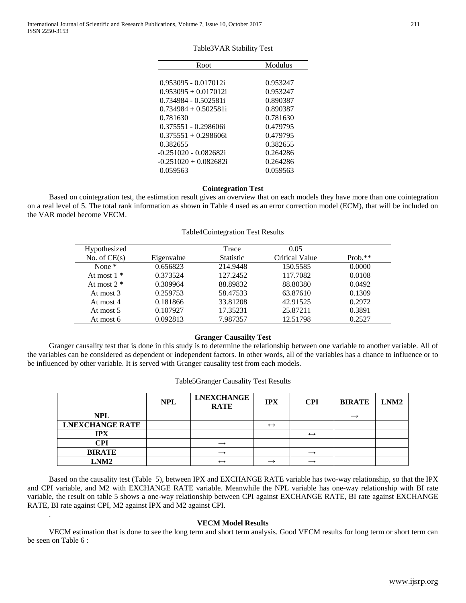| Root                     | Modulus  |
|--------------------------|----------|
|                          |          |
| $0.953095 - 0.017012i$   | 0.953247 |
| $0.953095 + 0.017012i$   | 0.953247 |
| 0.734984 - 0.502581i     | 0.890387 |
| $0.734984 + 0.502581$ i  | 0.890387 |
| 0.781630                 | 0.781630 |
| $0.375551 - 0.298606$ i  | 0.479795 |
| $0.375551 + 0.298606$ i  | 0.479795 |
| 0.382655                 | 0.382655 |
| -0.251020 - 0.082682i    | 0.264286 |
| $-0.251020 + 0.082682$ i | 0.264286 |
| 0.059563                 | 0.059563 |

| Table3VAR Stability Test |  |  |
|--------------------------|--|--|
|--------------------------|--|--|

### **Cointegration Test**

Based on cointegration test, the estimation result gives an overview that on each models they have more than one cointegration on a real level of 5. The total rank information as shown in Table 4 used as an error correction model (ECM), that will be included on the VAR model become VECM.

| Hypothesized   |            | Trace            | 0.05                  |           |
|----------------|------------|------------------|-----------------------|-----------|
| No. of $CE(s)$ | Eigenvalue | <b>Statistic</b> | <b>Critical Value</b> | $Prob.**$ |
| None $*$       | 0.656823   | 214.9448         | 150.5585              | 0.0000    |
| At most $1 *$  | 0.373524   | 127.2452         | 117.7082              | 0.0108    |
| At most $2 *$  | 0.309964   | 88.89832         | 88.80380              | 0.0492    |
| At most 3      | 0.259753   | 58.47533         | 63.87610              | 0.1309    |
| At most 4      | 0.181866   | 33.81208         | 42.91525              | 0.2972    |
| At most 5      | 0.107927   | 17.35231         | 25.87211              | 0.3891    |
| At most 6      | 0.092813   | 7.987357         | 12.51798              | 0.2527    |

#### Table4Cointegration Test Results

### **Granger Causailty Test**

Granger causality test that is done in this study is to determine the relationship between one variable to another variable. All of the variables can be considered as dependent or independent factors. In other words, all of the variables has a chance to influence or to be influenced by other variable. It is served with Granger causality test from each models.

# Table5Granger Causality Test Results

|                        | <b>NPL</b> | <b>LNEXCHANGE</b><br><b>RATE</b> | <b>IPX</b>        | <b>CPI</b>        | <b>BIRATE</b> | LNM <sub>2</sub> |
|------------------------|------------|----------------------------------|-------------------|-------------------|---------------|------------------|
| <b>NPL</b>             |            |                                  |                   |                   |               |                  |
| <b>LNEXCHANGE RATE</b> |            |                                  | $\leftrightarrow$ |                   |               |                  |
| <b>IPX</b>             |            |                                  |                   | $\leftrightarrow$ |               |                  |
| CPI                    |            |                                  |                   |                   |               |                  |
| <b>BIRATE</b>          |            |                                  |                   |                   |               |                  |
| LNM <sub>2</sub>       |            | $\leftrightarrow$                |                   |                   |               |                  |

Based on the causality test (Table 5), between IPX and EXCHANGE RATE variable has two-way relationship, so that the IPX and CPI variable, and M2 with EXCHANGE RATE variable. Meanwhile the NPL variable has one-way relationship with BI rate variable, the result on table 5 shows a one-way relationship between CPI against EXCHANGE RATE, BI rate against EXCHANGE RATE, BI rate against CPI, M2 against IPX and M2 against CPI.

## **VECM Model Results**

.

VECM estimation that is done to see the long term and short term analysis. Good VECM results for long term or short term can be seen on Table 6 :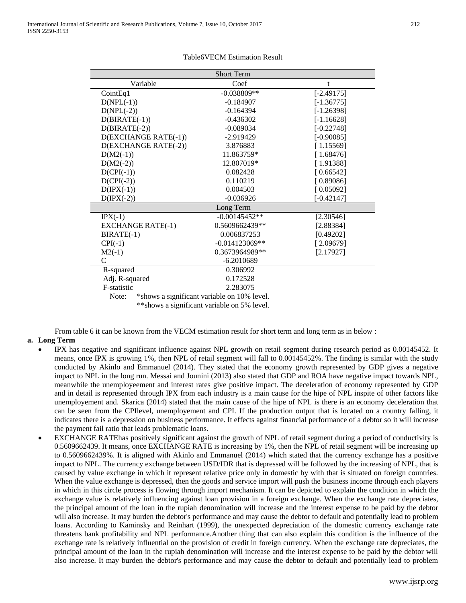| <b>Short Term</b>                                    |                  |              |  |  |
|------------------------------------------------------|------------------|--------------|--|--|
| Variable                                             | Coef             | t            |  |  |
| CointEq1                                             | $-0.038809**$    | $[-2.49175]$ |  |  |
| $D(NPL(-1))$                                         | $-0.184907$      | $[-1.36775]$ |  |  |
| $D(NPL(-2))$                                         | $-0.164394$      | $[-1.26398]$ |  |  |
| $D(BIRATE(-1))$                                      | $-0.436302$      | $[-1.16628]$ |  |  |
| $D(BIRATE(-2))$                                      | $-0.089034$      | $[-0.22748]$ |  |  |
| D(EXCHANGE RATE(-1))                                 | $-2.919429$      | $[-0.90085]$ |  |  |
| D(EXCHANGE RATE(-2))                                 | 3.876883         | [1.15569]    |  |  |
| $D(M2(-1))$                                          | 11.863759*       | [1.68476]    |  |  |
| $D(M2(-2))$                                          | 12.807019*       | [1.91388]    |  |  |
| $D(CPI(-1))$                                         | 0.082428         | [0.66542]    |  |  |
| $D(CPI(-2))$                                         | 0.110219         | [0.89086]    |  |  |
| $D(IPX(-1))$                                         | 0.004503         | [0.05092]    |  |  |
| $D(IPX(-2))$                                         | $-0.036926$      | $[-0.42147]$ |  |  |
| Long Term                                            |                  |              |  |  |
| $IPX(-1)$                                            | $-0.00145452**$  | [2.30546]    |  |  |
| <b>EXCHANGE RATE(-1)</b>                             | 0.5609662439**   | [2.88384]    |  |  |
| $BIRATE(-1)$                                         | 0.006837253      | [0.49202]    |  |  |
| $CPI(-1)$                                            | $-0.014123069**$ | [2.09679]    |  |  |
| $M2(-1)$                                             | 0.3673964989**   | [2.17927]    |  |  |
| $\mathsf{C}$                                         | $-6.2010689$     |              |  |  |
| R-squared                                            | 0.306992         |              |  |  |
| Adj. R-squared                                       | 0.172528         |              |  |  |
| F-statistic                                          | 2.283075         |              |  |  |
| *shows a significant variable on 10% level.<br>Note: |                  |              |  |  |

#### Table6VECM Estimation Result

\*\*shows a significant variable on 5% level.

From table 6 it can be known from the VECM estimation result for short term and long term as in below :

# **a. Long Term**

- IPX has negative and significant influence against NPL growth on retail segment during research period as 0.00145452. It means, once IPX is growing 1%, then NPL of retail segment will fall to 0.00145452%. The finding is similar with the study conducted by Akinlo and Emmanuel (2014). They stated that the economy growth represented by GDP gives a negative impact to NPL in the long run. Messai and Jounini (2013) also stated that GDP and ROA have negative impact towards NPL, meanwhile the unemployeement and interest rates give positive impact. The deceleration of economy represented by GDP and in detail is represented through IPX from each industry is a main cause for the hipe of NPL inspite of other factors like unemployement and. Skarica (2014) stated that the main cause of the hipe of NPL is there is an economy deceleration that can be seen from the CPIlevel, unemployement and CPI. If the production output that is located on a country falling, it indicates there is a depression on business performance. It effects against financial performance of a debtor so it will increase the payment fail ratio that leads problematic loans.
- EXCHANGE RATE has positively significant against the growth of NPL of retail segment during a period of conductivity is 0.5609662439. It means, once EXCHANGE RATE is increasing by 1%, then the NPL of retail segment will be increasing up to 0.5609662439%. It is aligned with Akinlo and Emmanuel (2014) which stated that the currency exchange has a positive impact to NPL. The currency exchange between USD/IDR that is depressed will be followed by the increasing of NPL, that is caused by value exchange in which it represent relative price only in domestic by with that is situated on foreign countries. When the value exchange is depressed, then the goods and service import will push the business income through each players in which in this circle process is flowing through import mechanism. It can be depicted to explain the condition in which the exchange value is relatively influencing against loan provision in a foreign exchange. When the exchange rate depreciates, the principal amount of the loan in the rupiah denomination will increase and the interest expense to be paid by the debtor will also increase. It may burden the debtor's performance and may cause the debtor to default and potentially lead to problem loans. According to Kaminsky and Reinhart (1999), the unexpected depreciation of the domestic currency exchange rate threatens bank profitability and NPL performance.Another thing that can also explain this condition is the influence of the exchange rate is relatively influential on the provision of credit in foreign currency. When the exchange rate depreciates, the principal amount of the loan in the rupiah denomination will increase and the interest expense to be paid by the debtor will also increase. It may burden the debtor's performance and may cause the debtor to default and potentially lead to problem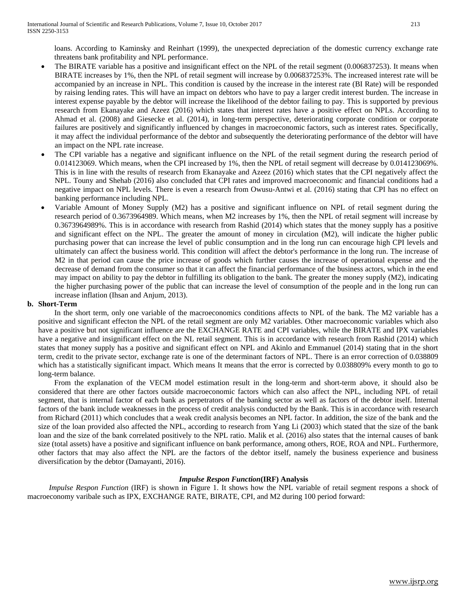loans. According to Kaminsky and Reinhart (1999), the unexpected depreciation of the domestic currency exchange rate threatens bank profitability and NPL performance.

- The BIRATE variable has a positive and insignificant effect on the NPL of the retail segment (0.006837253). It means when BIRATE increases by 1%, then the NPL of retail segment will increase by 0.006837253%. The increased interest rate will be accompanied by an increase in NPL. This condition is caused by the increase in the interest rate (BI Rate) will be responded by raising lending rates. This will have an impact on debtors who have to pay a larger credit interest burden. The increase in interest expense payable by the debtor will increase the likelihood of the debtor failing to pay. This is supported by previous research from Ekanayake and Azeez (2016) which states that interest rates have a positive effect on NPLs. According to Ahmad et al. (2008) and Giesecke et al. (2014), in long-term perspective, deteriorating corporate condition or corporate failures are positively and significantly influenced by changes in macroeconomic factors, such as interest rates. Specifically, it may affect the individual performance of the debtor and subsequently the deteriorating performance of the debtor will have an impact on the NPL rate increase.
- The CPI variable has a negative and significant influence on the NPL of the retail segment during the research period of 0.014123069. Which means, when the CPI increased by 1%, then the NPL of retail segment will decrease by 0.014123069%. This is in line with the results of research from Ekanayake and Azeez (2016) which states that the CPI negatively affect the NPL. Touny and Shehab (2016) also concluded that CPI rates and improved macroeconomic and financial conditions had a negative impact on NPL levels. There is even a research from Owusu-Antwi et al. (2016) stating that CPI has no effect on banking performance including NPL.
- Variable Amount of Money Supply (M2) has a positive and significant influence on NPL of retail segment during the research period of 0.3673964989. Which means, when M2 increases by 1%, then the NPL of retail segment will increase by 0.3673964989%. This is in accordance with research from Rashid (2014) which states that the money supply has a positive and significant effect on the NPL. The greater the amount of money in circulation (M2), will indicate the higher public purchasing power that can increase the level of public consumption and in the long run can encourage high CPI levels and ultimately can affect the business world. This condition will affect the debtor's performance in the long run. The increase of M2 in that period can cause the price increase of goods which further causes the increase of operational expense and the decrease of demand from the consumer so that it can affect the financial performance of the business actors, which in the end may impact on ability to pay the debtor in fulfilling its obligation to the bank. The greater the money supply (M2), indicating the higher purchasing power of the public that can increase the level of consumption of the people and in the long run can increase inflation (Ihsan and Anjum, 2013).

## **b. Short-Term**

In the short term, only one variable of the macroeconomics conditions affects to NPL of the bank. The M2 variable has a positive and significant effecton the NPL of the retail segment are only M2 variables. Other macroeconomic variables which also have a positive but not significant influence are the EXCHANGE RATE and CPI variables, while the BIRATE and IPX variables have a negative and insignificant effect on the NL retail segment. This is in accordance with research from Rashid (2014) which states that money supply has a positive and significant effect on NPL and Akinlo and Emmanuel (2014) stating that in the short term, credit to the private sector, exchange rate is one of the determinant factors of NPL. There is an error correction of 0.038809 which has a statistically significant impact. Which means It means that the error is corrected by 0.038809% every month to go to long-term balance.

From the explanation of the VECM model estimation result in the long-term and short-term above, it should also be considered that there are other factors outside macroeconomic factors which can also affect the NPL, including NPL of retail segment, that is internal factor of each bank as perpetrators of the banking sector as well as factors of the debtor itself. Internal factors of the bank include weaknesses in the process of credit analysis conducted by the Bank. This is in accordance with research from Richard (2011) which concludes that a weak credit analysis becomes an NPL factor. In addition, the size of the bank and the size of the loan provided also affected the NPL, according to research from Yang Li (2003) which stated that the size of the bank loan and the size of the bank correlated positively to the NPL ratio. Malik et al. (2016) also states that the internal causes of bank size (total assets) have a positive and significant influence on bank performance, among others, ROE, ROA and NPL. Furthermore, other factors that may also affect the NPL are the factors of the debtor itself, namely the business experience and business diversification by the debtor (Damayanti, 2016).

## *Impulse Respon Function***(IRF) Analysis**

*Impulse Respon Function* (IRF) is shown in Figure 1. It shows how the NPL variable of retail segment respons a shock of macroeconomy varibale such as IPX, EXCHANGE RATE, BIRATE, CPI, and M2 during 100 period forward: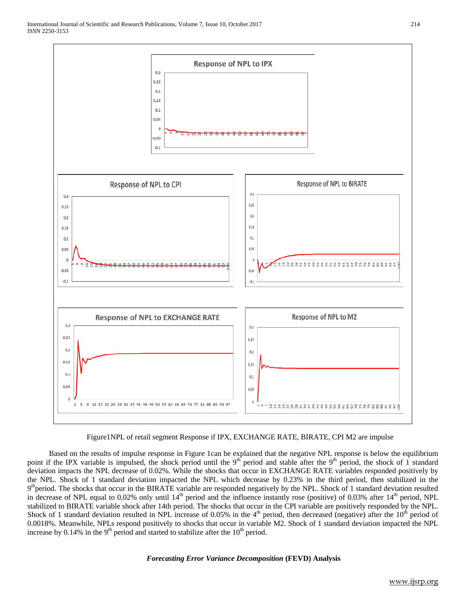

Figure1NPL of retail segment Response if IPX, EXCHANGE RATE, BIRATE, CPI M2 are impulse

Based on the results of impulse response in Figure 1can be explained that the negative NPL response is below the equilibrium point if the IPX variable is impulsed, the shock period until the 9<sup>th</sup> period and stable after the 9<sup>th</sup> period, the shock of 1 standard deviation impacts the NPL decrease of 0.02%. While the shocks that occur in EXCHANGE RATE variables responded positively by the NPL. Shock of 1 standard deviation impacted the NPL which decrease by 0.23% in the third period, then stabilized in the  $9<sup>th</sup> period.$  The shocks that occur in the BIRATE variable are responded negatively by the NPL. Shock of 1 standard deviation resulted in decrease of NPL equal to 0,02% only until  $14<sup>th</sup>$  period and the influence instantly rose (positive) of 0.03% after  $14<sup>th</sup>$  period, NPL stabilized to BIRATE variable shock after 14th period. The shocks that occur in the CPI variable are positively responded by the NPL. Shock of 1 standard deviation resulted in NPL increase of 0.05% in the 4<sup>th</sup> period, then decreased (negative) after the  $10^{th}$  period of 0.0018%. Meanwhile, NPLs respond positively to shocks that occur in variable M2. Shock of 1 standard deviation impacted the NPL increase by 0.14% in the  $9<sup>th</sup>$  period and started to stabilize after the  $10<sup>th</sup>$  period.

## *Forecasting Error Variance Decomposition* **(FEVD) Analysis**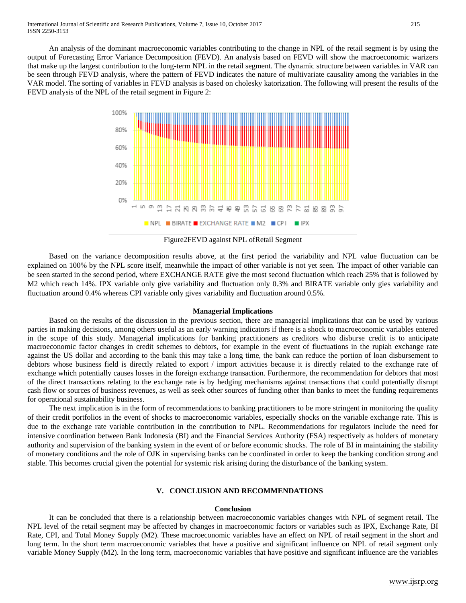An analysis of the dominant macroeconomic variables contributing to the change in NPL of the retail segment is by using the output of Forecasting Error Variance Decomposition (FEVD). An analysis based on FEVD will show the macroeconomic warizers that make up the largest contribution to the long-term NPL in the retail segment. The dynamic structure between variables in VAR can be seen through FEVD analysis, where the pattern of FEVD indicates the nature of multivariate causality among the variables in the VAR model. The sorting of variables in FEVD analysis is based on cholesky katorization. The following will present the results of the FEVD analysis of the NPL of the retail segment in Figure 2:



Figure2FEVD against NPL ofRetail Segment

Based on the variance decomposition results above, at the first period the variability and NPL value fluctuation can be explained on 100% by the NPL score itself, meanwhile the impact of other variable is not yet seen. The impact of other variable can be seen started in the second period, where EXCHANGE RATE give the most second fluctuation which reach 25% that is followed by M2 which reach 14%. IPX variable only give variability and fluctuation only 0.3% and BIRATE variable only gies variability and fluctuation around 0.4% whereas CPI variable only gives variability and fluctuation around 0.5%.

#### **Managerial Implications**

Based on the results of the discussion in the previous section, there are managerial implications that can be used by various parties in making decisions, among others useful as an early warning indicators if there is a shock to macroeconomic variables entered in the scope of this study. Managerial implications for banking practitioners as creditors who disburse credit is to anticipate macroeconomic factor changes in credit schemes to debtors, for example in the event of fluctuations in the rupiah exchange rate against the US dollar and according to the bank this may take a long time, the bank can reduce the portion of loan disbursement to debtors whose business field is directly related to export / import activities because it is directly related to the exchange rate of exchange which potentially causes losses in the foreign exchange transaction. Furthermore, the recommendation for debtors that most of the direct transactions relating to the exchange rate is by hedging mechanisms against transactions that could potentially disrupt cash flow or sources of business revenues, as well as seek other sources of funding other than banks to meet the funding requirements for operational sustainability business.

The next implication is in the form of recommendations to banking practitioners to be more stringent in monitoring the quality of their credit portfolios in the event of shocks to macroeconomic variables, especially shocks on the variable exchange rate. This is due to the exchange rate variable contribution in the contribution to NPL. Recommendations for regulators include the need for intensive coordination between Bank Indonesia (BI) and the Financial Services Authority (FSA) respectively as holders of monetary authority and supervision of the banking system in the event of or before economic shocks. The role of BI in maintaining the stability of monetary conditions and the role of OJK in supervising banks can be coordinated in order to keep the banking condition strong and stable. This becomes crucial given the potential for systemic risk arising during the disturbance of the banking system.

## **V. CONCLUSION AND RECOMMENDATIONS**

#### **Conclusion**

It can be concluded that there is a relationship between macroeconomic variables changes with NPL of segment retail. The NPL level of the retail segment may be affected by changes in macroeconomic factors or variables such as IPX, Exchange Rate, BI Rate, CPI, and Total Money Supply (M2). These macroeconomic variables have an effect on NPL of retail segment in the short and long term. In the short term macroeconomic variables that have a positive and significant influence on NPL of retail segment only variable Money Supply (M2). In the long term, macroeconomic variables that have positive and significant influence are the variables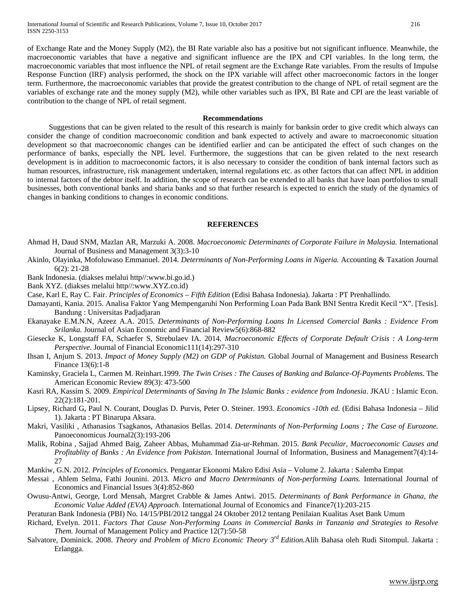of Exchange Rate and the Money Supply (M2), the BI Rate variable also has a positive but not significant influence. Meanwhile, the macroeconomic variables that have a negative and significant influence are the IPX and CPI variables. In the long term, the macroeconomic variables that most influence the NPL of retail segment are the Exchange Rate variables. From the results of Impulse Response Function (IRF) analysis performed, the shock on the IPX variable will affect other macroeconomic factors in the longer term. Furthermore, the macroeconomic variables that provide the greatest contribution to the change of NPL of retail segment are the variables of exchange rate and the money supply (M2), while other variables such as IPX, BI Rate and CPI are the least variable of contribution to the change of NPL of retail segment.

#### **Recommendations**

Suggestions that can be given related to the result of this research is mainly for banksin order to give credit which always can consider the change of condition macroeconomic condition and bank expected to actively and aware to macroeconomic situation development so that macroeconomic changes can be identified earlier and can be anticipated the effect of such changes on the performance of banks, especially the NPL level. Furthermore, the suggestions that can be given related to the next research development is in addition to macroeconomic factors, it is also necessary to consider the condition of bank internal factors such as human resources, infrastructure, risk management undertaken, internal regulations etc. as other factors that can affect NPL in addition to internal factors of the debtor itself. In addition, the scope of research can be extended to all banks that have loan portfolios to small businesses, both conventional banks and sharia banks and so that further research is expected to enrich the study of the dynamics of changes in banking conditions to changes in economic conditions.

### **REFERENCES**

- Ahmad H, Daud SNM, Mazlan AR, Marzuki A. 2008. *Macroeconomic Determinants of Corporate Failure in Malaysia.* International Journal of Business and Management 3(3):3-10
- Akinlo, Olayinka, Mofoluwaso Emmanuel. 2014. *Determinants of Non-Performing Loans in Nigeria.* Accounting & Taxation Journal 6(2): 21-28
- Bank Indonesia. (diakses melalui http//:www.bi.go.id.)
- Bank XYZ. (diakses melalui http//:www.XYZ.co.id)
- Case, Karl E, Ray C. Fair. *Principles of Economics – Fifth Edition* (Edisi Bahasa Indonesia). Jakarta : PT Prenhallindo.
- Damayanti, Kania. 2015. Analisa Faktor Yang Mempengaruhi Non Performing Loan Pada Bank BNI Sentra Kredit Kecil "X". [Tesis]. Bandung : Universitas Padjadjaran
- Ekanayake E.M.N.N, Azeez A.A. 2015. *Determinants of Non-Performing Loans In Licensed Comercial Banks : Evidence From Srilanka.* Journal of Asian Economic and Financial Review5(6):868-882
- Giesecke K, Longstaff FA, Schaefer S, Strebulaev IA. 2014. *Macroeconomic Effects of Corporate Default Crisis : A Long-term Perspective.* Journal of Financial Economic111(14):297-310
- Ihsan I, Anjum S. 2013. *Impact of Money Supply (M2) on GDP of Pakistan.* Global Journal of Management and Business Research Finance 13(6):1-8
- Kaminsky, Graciela L, Carmen M. Reinhart.1999. *The Twin Crises : The Causes of Banking and Balance-Of-Payments Problems*. The American Economic Review 89(3): 473-500
- Kasri RA, Kassim S. 2009. *Empirical Determinants of Saving In The Islamic Banks : evidence from Indonesia*. JKAU : Islamic Econ. 22(2):181-201.
- Lipsey, Richard G, Paul N. Courant, Douglas D. Purvis, Peter O. Steiner. 1993. *Economics -10th ed.* (Edisi Bahasa Indonesia Jilid 1). Jakarta : PT Binarupa Aksara.
- Makri, Vasiliki , Athanasios Tsagkanos, Athanasios Bellas. 2014. *Determinants of Non-Performing Loans ; The Case of Eurozone.*  Panoeconomicus Journal2(3):193-206
- Malik, Robina , Sajjad Ahmed Baig, Zaheer Abbas, Muhammad Zia-ur-Rehman. 2015. *Bank Peculiar, Macroeconomic Causes and Profitablity of Banks : An Evidence from Pakistan.* International Journal of Information, Business and Management7(4):14-  $27$
- Mankiw, G.N. 2012. *Principles of Economics.* Pengantar Ekonomi Makro Edisi Asia Volume 2. Jakarta : Salemba Empat
- Messai , Ahlem Selma, Fathi Jounini. 2013. *Micro and Macro Determinants of Non-performing Loans.* International Journal of Economics and Financial Issues 3(4):852-860
- Owusu-Antwi, George, Lord Mensah, Margret Crabble & James Antwi. 2015. *Determinants of Bank Performance in Ghana, the Economic Value Added (EVA) Approach.* International Journal of Economics and Finance7(1):203-215

Peraturan Bank Indonesia (PBI) No. 14/15/PBI/2012 tanggal 24 Oktober 2012 tentang Penilaian Kualitas Aset Bank Umum

- Richard, Evelyn. 2011. *Factors That Cause Non-Performing Loans in Commercial Banks in Tanzania and Strategies to Resolve Them.* Journal of Management Policy and Practice 12(7):50-58
- Salvatore, Dominick. 2008. *Theory and Problem of Micro Economic Theory 3rd Edition.*Alih Bahasa oleh Rudi Sitompul. Jakarta : Erlangga.